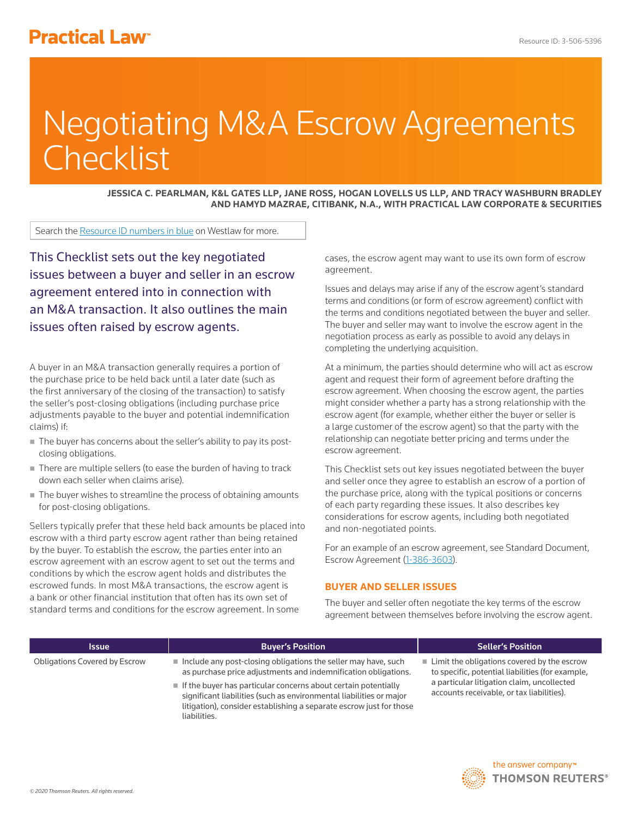# **Practical Law<sup>®</sup>**

# Negotiating M&A Escrow Agreements **Checklist**

**JESSICA C. PEARLMAN, K&L GATES LLP, JANE ROSS, HOGAN LOVELLS US LLP, AND TRACY WASHBURN BRADLEY AND HAMYD MAZRAE, CITIBANK, N.A., WITH PRACTICAL LAW CORPORATE & SECURITIES**

Search the Resource ID numbers in blue on Westlaw for more.

This Checklist sets out the key negotiated issues between a buyer and seller in an escrow agreement entered into in connection with an M&A transaction. It also outlines the main issues often raised by escrow agents.

A buyer in an M&A transaction generally requires a portion of the purchase price to be held back until a later date (such as the first anniversary of the closing of the transaction) to satisfy the seller's post-closing obligations (including purchase price adjustments payable to the buyer and potential indemnification claims) if:

- The buyer has concerns about the seller's ability to pay its postclosing obligations.
- There are multiple sellers (to ease the burden of having to track down each seller when claims arise).
- The buyer wishes to streamline the process of obtaining amounts for post-closing obligations.

Sellers typically prefer that these held back amounts be placed into escrow with a third party escrow agent rather than being retained by the buyer. To establish the escrow, the parties enter into an escrow agreement with an escrow agent to set out the terms and conditions by which the escrow agent holds and distributes the escrowed funds. In most M&A transactions, the escrow agent is a bank or other financial institution that often has its own set of standard terms and conditions for the escrow agreement. In some

liabilities.

cases, the escrow agent may want to use its own form of escrow agreement.

Issues and delays may arise if any of the escrow agent's standard terms and conditions (or form of escrow agreement) conflict with the terms and conditions negotiated between the buyer and seller. The buyer and seller may want to involve the escrow agent in the negotiation process as early as possible to avoid any delays in completing the underlying acquisition.

At a minimum, the parties should determine who will act as escrow agent and request their form of agreement before drafting the escrow agreement. When choosing the escrow agent, the parties might consider whether a party has a strong relationship with the escrow agent (for example, whether either the buyer or seller is a large customer of the escrow agent) so that the party with the relationship can negotiate better pricing and terms under the escrow agreement.

This Checklist sets out key issues negotiated between the buyer and seller once they agree to establish an escrow of a portion of the purchase price, along with the typical positions or concerns of each party regarding these issues. It also describes key considerations for escrow agents, including both negotiated and non-negotiated points.

For an example of an escrow agreement, see Standard Document, Escrow Agreement (1-386-3603).

## **BUYER AND SELLER ISSUES**

The buyer and seller often negotiate the key terms of the escrow agreement between themselves before involving the escrow agent.

| <b>Issue</b>                  | <b>Buyer's Position</b>                                                                                                                                  | <b>Seller's Position</b>                                                                                       |
|-------------------------------|----------------------------------------------------------------------------------------------------------------------------------------------------------|----------------------------------------------------------------------------------------------------------------|
| Obligations Covered by Escrow | $\blacksquare$ Include any post-closing obligations the seller may have, such<br>as purchase price adjustments and indemnification obligations.          | $\blacksquare$ Limit the obligations covered by the escrow<br>to specific, potential liabilities (for example, |
|                               | $\blacksquare$ If the buyer has particular concerns about certain potentially<br>ciantíficant lighilitica (queb as anyinennes antel lighilitica en maior | a particular litigation claim, uncollected<br>accounts receivable, or tax liabilities).                        |

significant liabilities (such as environmental liabilities or major litigation), consider establishing a separate escrow just for those

> the answer company™ **THOMSON REUTERS®**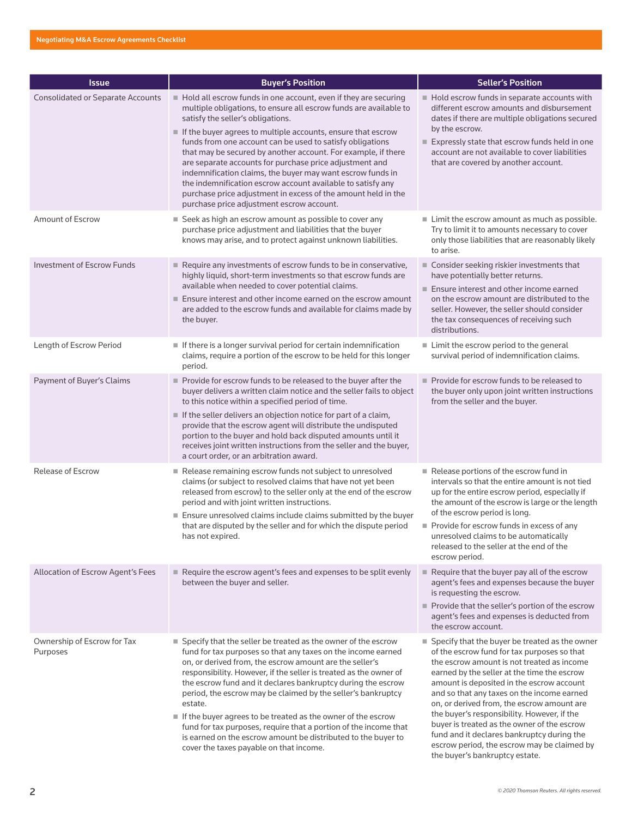| <b>Issue</b>                             | <b>Buyer's Position</b>                                                                                                                                                                                                                                                                                                                                                                                                                                                                                                                                                                                                                                                       | <b>Seller's Position</b>                                                                                                                                                                                                                                                                                                                                                                                                                                                                                                                                           |
|------------------------------------------|-------------------------------------------------------------------------------------------------------------------------------------------------------------------------------------------------------------------------------------------------------------------------------------------------------------------------------------------------------------------------------------------------------------------------------------------------------------------------------------------------------------------------------------------------------------------------------------------------------------------------------------------------------------------------------|--------------------------------------------------------------------------------------------------------------------------------------------------------------------------------------------------------------------------------------------------------------------------------------------------------------------------------------------------------------------------------------------------------------------------------------------------------------------------------------------------------------------------------------------------------------------|
| <b>Consolidated or Separate Accounts</b> | Hold all escrow funds in one account, even if they are securing<br>multiple obligations, to ensure all escrow funds are available to<br>satisfy the seller's obligations.<br>If the buyer agrees to multiple accounts, ensure that escrow<br>funds from one account can be used to satisfy obligations<br>that may be secured by another account. For example, if there<br>are separate accounts for purchase price adjustment and<br>indemnification claims, the buyer may want escrow funds in<br>the indemnification escrow account available to satisfy any<br>purchase price adjustment in excess of the amount held in the<br>purchase price adjustment escrow account. | Hold escrow funds in separate accounts with<br>different escrow amounts and disbursement<br>dates if there are multiple obligations secured<br>by the escrow.<br>Expressly state that escrow funds held in one<br>account are not available to cover liabilities<br>that are covered by another account.                                                                                                                                                                                                                                                           |
| Amount of Escrow                         | ■ Seek as high an escrow amount as possible to cover any<br>purchase price adjustment and liabilities that the buyer<br>knows may arise, and to protect against unknown liabilities.                                                                                                                                                                                                                                                                                                                                                                                                                                                                                          | $\blacksquare$ Limit the escrow amount as much as possible.<br>Try to limit it to amounts necessary to cover<br>only those liabilities that are reasonably likely<br>to arise.                                                                                                                                                                                                                                                                                                                                                                                     |
| <b>Investment of Escrow Funds</b>        | Require any investments of escrow funds to be in conservative,<br>highly liquid, short-term investments so that escrow funds are<br>available when needed to cover potential claims.<br>■ Ensure interest and other income earned on the escrow amount<br>are added to the escrow funds and available for claims made by<br>the buyer.                                                                                                                                                                                                                                                                                                                                        | Consider seeking riskier investments that<br>have potentially better returns.<br>Ensure interest and other income earned<br>on the escrow amount are distributed to the<br>seller. However, the seller should consider<br>the tax consequences of receiving such<br>distributions.                                                                                                                                                                                                                                                                                 |
| Length of Escrow Period                  | If there is a longer survival period for certain indemnification<br>claims, require a portion of the escrow to be held for this longer<br>period.                                                                                                                                                                                                                                                                                                                                                                                                                                                                                                                             | Limit the escrow period to the general<br>survival period of indemnification claims.                                                                                                                                                                                                                                                                                                                                                                                                                                                                               |
| Payment of Buyer's Claims                | Provide for escrow funds to be released to the buyer after the<br>buyer delivers a written claim notice and the seller fails to object<br>to this notice within a specified period of time.<br>If the seller delivers an objection notice for part of a claim,<br>provide that the escrow agent will distribute the undisputed<br>portion to the buyer and hold back disputed amounts until it<br>receives joint written instructions from the seller and the buyer,<br>a court order, or an arbitration award.                                                                                                                                                               | Provide for escrow funds to be released to<br>the buyer only upon joint written instructions<br>from the seller and the buyer.                                                                                                                                                                                                                                                                                                                                                                                                                                     |
| Release of Escrow                        | Release remaining escrow funds not subject to unresolved<br>claims (or subject to resolved claims that have not yet been<br>released from escrow) to the seller only at the end of the escrow<br>period and with joint written instructions.<br>Ensure unresolved claims include claims submitted by the buyer<br>that are disputed by the seller and for which the dispute period<br>has not expired.                                                                                                                                                                                                                                                                        | Release portions of the escrow fund in<br>intervals so that the entire amount is not tied<br>up for the entire escrow period, especially if<br>the amount of the escrow is large or the length<br>of the escrow period is long.<br>$\blacksquare$ Provide for escrow funds in excess of any<br>unresolved claims to be automatically<br>released to the seller at the end of the<br>escrow period.                                                                                                                                                                 |
| Allocation of Escrow Agent's Fees        | Require the escrow agent's fees and expenses to be split evenly<br>between the buyer and seller.                                                                                                                                                                                                                                                                                                                                                                                                                                                                                                                                                                              | $\blacksquare$ Require that the buyer pay all of the escrow<br>agent's fees and expenses because the buyer<br>is requesting the escrow.<br>Provide that the seller's portion of the escrow<br>agent's fees and expenses is deducted from<br>the escrow account.                                                                                                                                                                                                                                                                                                    |
| Ownership of Escrow for Tax<br>Purposes  | ■ Specify that the seller be treated as the owner of the escrow<br>fund for tax purposes so that any taxes on the income earned<br>on, or derived from, the escrow amount are the seller's<br>responsibility. However, if the seller is treated as the owner of<br>the escrow fund and it declares bankruptcy during the escrow<br>period, the escrow may be claimed by the seller's bankruptcy<br>estate.<br>If the buyer agrees to be treated as the owner of the escrow<br>fund for tax purposes, require that a portion of the income that<br>is earned on the escrow amount be distributed to the buyer to<br>cover the taxes payable on that income.                    | ■ Specify that the buyer be treated as the owner<br>of the escrow fund for tax purposes so that<br>the escrow amount is not treated as income<br>earned by the seller at the time the escrow<br>amount is deposited in the escrow account<br>and so that any taxes on the income earned<br>on, or derived from, the escrow amount are<br>the buyer's responsibility. However, if the<br>buyer is treated as the owner of the escrow<br>fund and it declares bankruptcy during the<br>escrow period, the escrow may be claimed by<br>the buyer's bankruptcy estate. |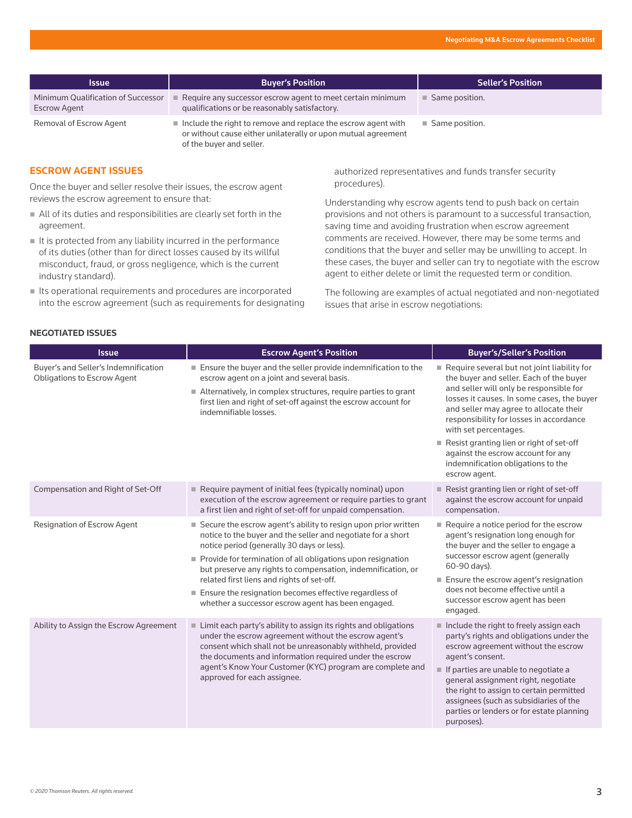| <b>Issue</b>                                              | <b>Buyer's Position</b>                                                                                                                                                   | <b>Seller's Position</b>      |
|-----------------------------------------------------------|---------------------------------------------------------------------------------------------------------------------------------------------------------------------------|-------------------------------|
| Minimum Qualification of Successor<br><b>Escrow Agent</b> | Require any successor escrow agent to meet certain minimum<br>qualifications or be reasonably satisfactory.                                                               | Same position.                |
| Removal of Escrow Agent                                   | $\blacksquare$ Include the right to remove and replace the escrow agent with<br>or without cause either unilaterally or upon mutual agreement<br>of the buyer and seller. | $\blacksquare$ Same position. |

# **ESCROW AGENT ISSUES**

Once the buyer and seller resolve their issues, the escrow agent reviews the escrow agreement to ensure that:

- All of its duties and responsibilities are clearly set forth in the agreement.
- $\blacksquare$  It is protected from any liability incurred in the performance of its duties (other than for direct losses caused by its willful misconduct, fraud, or gross negligence, which is the current industry standard).
- Its operational requirements and procedures are incorporated into the escrow agreement (such as requirements for designating

authorized representatives and funds transfer security procedures).

Understanding why escrow agents tend to push back on certain provisions and not others is paramount to a successful transaction, saving time and avoiding frustration when escrow agreement comments are received. However, there may be some terms and conditions that the buyer and seller may be unwilling to accept. In these cases, the buyer and seller can try to negotiate with the escrow agent to either delete or limit the requested term or condition.

The following are examples of actual negotiated and non-negotiated issues that arise in escrow negotiations:

| Buyer's and Setter's indeminification<br><b>Obligations to Escrow Agent</b> | Let buyer and the buyer<br>escrow agent on a                                              |
|-----------------------------------------------------------------------------|-------------------------------------------------------------------------------------------|
|                                                                             | $\blacksquare$ Alternatively, in comparison<br>first lien and right<br>indemnifiable loss |
|                                                                             |                                                                                           |

| <b>NEGOTIATED ISSUES</b> |  |  |
|--------------------------|--|--|
|--------------------------|--|--|

| <b>Issue</b>                                                               | <b>Escrow Agent's Position</b>                                                                                                                                                                                                                                                                                                                                                                                                                                                             | <b>Buyer's/Seller's Position</b>                                                                                                                                                                                                                                                                                                                                                           |
|----------------------------------------------------------------------------|--------------------------------------------------------------------------------------------------------------------------------------------------------------------------------------------------------------------------------------------------------------------------------------------------------------------------------------------------------------------------------------------------------------------------------------------------------------------------------------------|--------------------------------------------------------------------------------------------------------------------------------------------------------------------------------------------------------------------------------------------------------------------------------------------------------------------------------------------------------------------------------------------|
| Buyer's and Seller's Indemnification<br><b>Obligations to Escrow Agent</b> | Ensure the buyer and the seller provide indemnification to the<br>escrow agent on a joint and several basis.<br>■ Alternatively, in complex structures, require parties to grant<br>first lien and right of set-off against the escrow account for<br>indemnifiable losses.                                                                                                                                                                                                                | Require several but not joint liability for<br>the buyer and seller. Each of the buyer<br>and seller will only be responsible for<br>losses it causes. In some cases, the buyer<br>and seller may agree to allocate their<br>responsibility for losses in accordance<br>with set percentages.                                                                                              |
|                                                                            |                                                                                                                                                                                                                                                                                                                                                                                                                                                                                            | Resist granting lien or right of set-off<br>against the escrow account for any<br>indemnification obligations to the<br>escrow agent.                                                                                                                                                                                                                                                      |
| Compensation and Right of Set-Off                                          | Require payment of initial fees (typically nominal) upon<br>execution of the escrow agreement or require parties to grant<br>a first lien and right of set-off for unpaid compensation.                                                                                                                                                                                                                                                                                                    | Resist granting lien or right of set-off<br>against the escrow account for unpaid<br>compensation.                                                                                                                                                                                                                                                                                         |
| <b>Resignation of Escrow Agent</b>                                         | ■ Secure the escrow agent's ability to resign upon prior written<br>notice to the buyer and the seller and negotiate for a short<br>notice period (generally 30 days or less).<br>Provide for termination of all obligations upon resignation<br>but preserve any rights to compensation, indemnification, or<br>related first liens and rights of set-off.<br>$\blacksquare$ Ensure the resignation becomes effective regardless of<br>whether a successor escrow agent has been engaged. | $\blacksquare$ Require a notice period for the escrow<br>agent's resignation long enough for<br>the buyer and the seller to engage a<br>successor escrow agent (generally<br>60-90 days).<br>Ensure the escrow agent's resignation<br>does not become effective until a<br>successor escrow agent has been                                                                                 |
| Ability to Assign the Escrow Agreement                                     | ■ Limit each party's ability to assign its rights and obligations<br>under the escrow agreement without the escrow agent's<br>consent which shall not be unreasonably withheld, provided<br>the documents and information required under the escrow<br>agent's Know Your Customer (KYC) program are complete and<br>approved for each assignee.                                                                                                                                            | engaged.<br>Include the right to freely assign each<br>party's rights and obligations under the<br>escrow agreement without the escrow<br>agent's consent.<br>If parties are unable to negotiate a<br>general assignment right, negotiate<br>the right to assign to certain permitted<br>assignees (such as subsidiaries of the<br>parties or lenders or for estate planning<br>purposes). |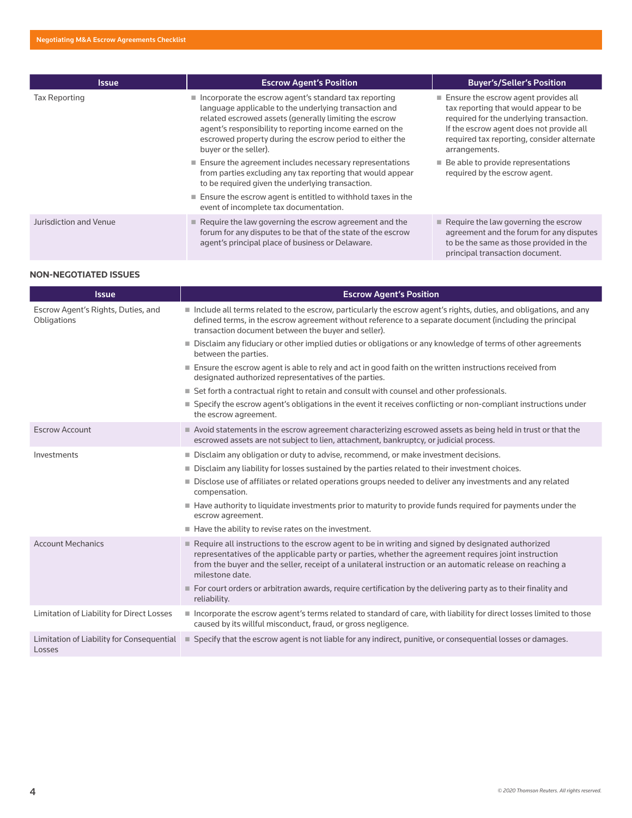| <b>Issue</b>           | <b>Escrow Agent's Position</b>                                                                                                                                                                                                                                                                                                           | <b>Buyer's/Seller's Position</b>                                                                                                                                                                                                       |
|------------------------|------------------------------------------------------------------------------------------------------------------------------------------------------------------------------------------------------------------------------------------------------------------------------------------------------------------------------------------|----------------------------------------------------------------------------------------------------------------------------------------------------------------------------------------------------------------------------------------|
| <b>Tax Reporting</b>   | $\blacksquare$ Incorporate the escrow agent's standard tax reporting<br>language applicable to the underlying transaction and<br>related escrowed assets (generally limiting the escrow<br>agent's responsibility to reporting income earned on the<br>escrowed property during the escrow period to either the<br>buyer or the seller). | ■ Ensure the escrow agent provides all<br>tax reporting that would appear to be<br>required for the underlying transaction.<br>If the escrow agent does not provide all<br>required tax reporting, consider alternate<br>arrangements. |
|                        | $\blacksquare$ Ensure the agreement includes necessary representations<br>from parties excluding any tax reporting that would appear<br>to be required given the underlying transaction.                                                                                                                                                 | $\blacksquare$ Be able to provide representations<br>required by the escrow agent.                                                                                                                                                     |
|                        | Ensure the escrow agent is entitled to withhold taxes in the<br>event of incomplete tax documentation.                                                                                                                                                                                                                                   |                                                                                                                                                                                                                                        |
| Jurisdiction and Venue | $\blacksquare$ Require the law governing the escrow agreement and the<br>forum for any disputes to be that of the state of the escrow<br>agent's principal place of business or Delaware.                                                                                                                                                | $\blacksquare$ Require the law governing the escrow<br>agreement and the forum for any disputes<br>to be the same as those provided in the<br>principal transaction document.                                                          |

### **NON-NEGOTIATED ISSUES**

| <b>Issue</b>                                        | <b>Escrow Agent's Position</b>                                                                                                                                                                                                                                                                                                           |
|-----------------------------------------------------|------------------------------------------------------------------------------------------------------------------------------------------------------------------------------------------------------------------------------------------------------------------------------------------------------------------------------------------|
| Escrow Agent's Rights, Duties, and<br>Obligations   | Include all terms related to the escrow, particularly the escrow agent's rights, duties, and obligations, and any<br>defined terms, in the escrow agreement without reference to a separate document (including the principal<br>transaction document between the buyer and seller).                                                     |
|                                                     | Disclaim any fiduciary or other implied duties or obligations or any knowledge of terms of other agreements<br>between the parties.                                                                                                                                                                                                      |
|                                                     | ■ Ensure the escrow agent is able to rely and act in good faith on the written instructions received from<br>designated authorized representatives of the parties.                                                                                                                                                                       |
|                                                     | ■ Set forth a contractual right to retain and consult with counsel and other professionals.                                                                                                                                                                                                                                              |
|                                                     | ■ Specify the escrow agent's obligations in the event it receives conflicting or non-compliant instructions under<br>the escrow agreement.                                                                                                                                                                                               |
| <b>Escrow Account</b>                               | Avoid statements in the escrow agreement characterizing escrowed assets as being held in trust or that the<br>escrowed assets are not subject to lien, attachment, bankruptcy, or judicial process.                                                                                                                                      |
| Investments                                         | Disclaim any obligation or duty to advise, recommend, or make investment decisions.                                                                                                                                                                                                                                                      |
|                                                     | Disclaim any liability for losses sustained by the parties related to their investment choices.                                                                                                                                                                                                                                          |
|                                                     | Disclose use of affiliates or related operations groups needed to deliver any investments and any related<br>compensation.                                                                                                                                                                                                               |
|                                                     | Have authority to liquidate investments prior to maturity to provide funds required for payments under the<br>escrow agreement.                                                                                                                                                                                                          |
|                                                     | Have the ability to revise rates on the investment.                                                                                                                                                                                                                                                                                      |
| <b>Account Mechanics</b>                            | Require all instructions to the escrow agent to be in writing and signed by designated authorized<br>representatives of the applicable party or parties, whether the agreement requires joint instruction<br>from the buyer and the seller, receipt of a unilateral instruction or an automatic release on reaching a<br>milestone date. |
|                                                     | For court orders or arbitration awards, require certification by the delivering party as to their finality and<br>reliability.                                                                                                                                                                                                           |
| Limitation of Liability for Direct Losses           | Incorporate the escrow agent's terms related to standard of care, with liability for direct losses limited to those<br>caused by its willful misconduct, fraud, or gross negligence.                                                                                                                                                     |
| Limitation of Liability for Consequential<br>Losses | ■ Specify that the escrow agent is not liable for any indirect, punitive, or consequential losses or damages.                                                                                                                                                                                                                            |